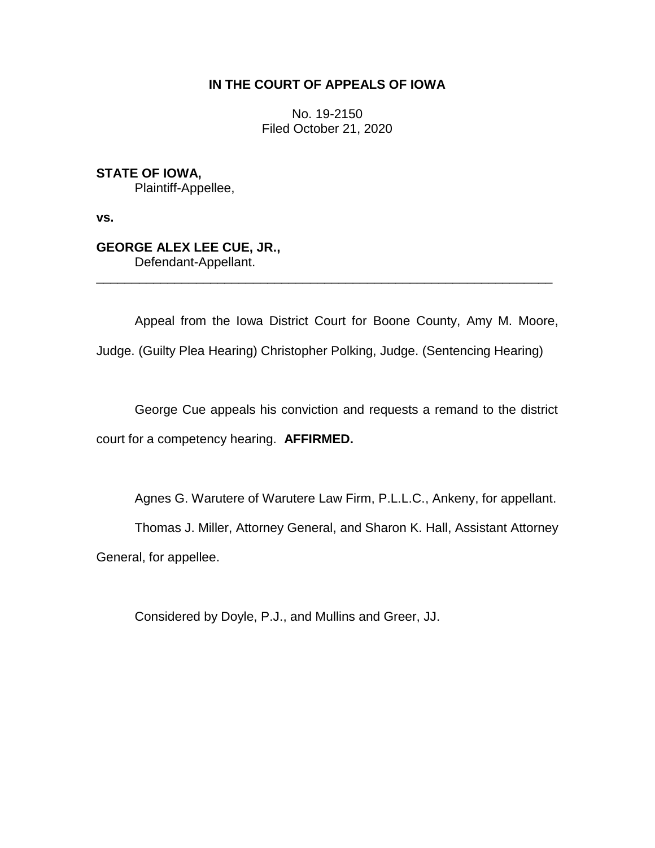# **IN THE COURT OF APPEALS OF IOWA**

No. 19-2150 Filed October 21, 2020

**STATE OF IOWA,** Plaintiff-Appellee,

**vs.**

# **GEORGE ALEX LEE CUE, JR.,** Defendant-Appellant.

Appeal from the Iowa District Court for Boone County, Amy M. Moore,

\_\_\_\_\_\_\_\_\_\_\_\_\_\_\_\_\_\_\_\_\_\_\_\_\_\_\_\_\_\_\_\_\_\_\_\_\_\_\_\_\_\_\_\_\_\_\_\_\_\_\_\_\_\_\_\_\_\_\_\_\_\_\_\_

Judge. (Guilty Plea Hearing) Christopher Polking, Judge. (Sentencing Hearing)

George Cue appeals his conviction and requests a remand to the district court for a competency hearing. **AFFIRMED.** 

Agnes G. Warutere of Warutere Law Firm, P.L.L.C., Ankeny, for appellant.

Thomas J. Miller, Attorney General, and Sharon K. Hall, Assistant Attorney General, for appellee.

Considered by Doyle, P.J., and Mullins and Greer, JJ.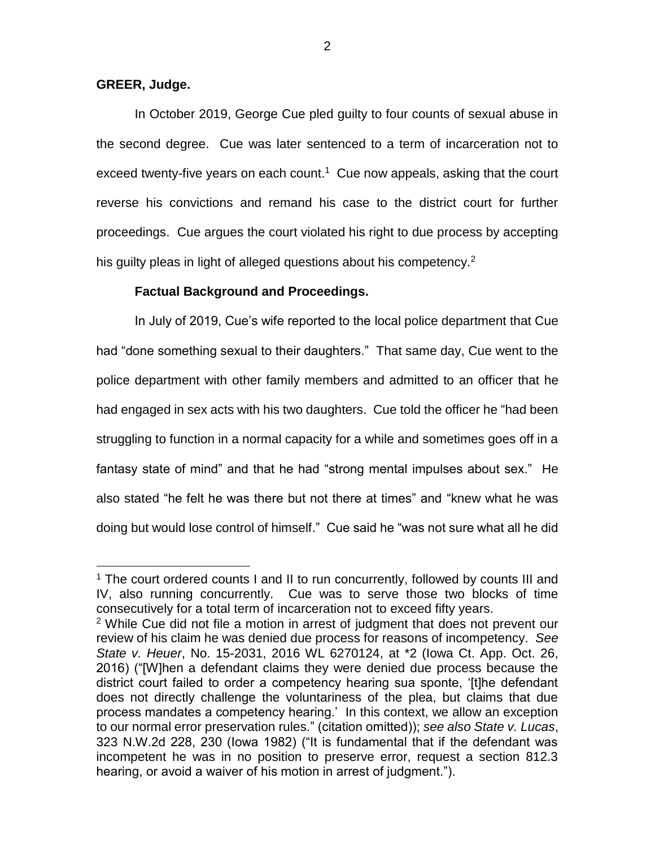### **GREER, Judge.**

 $\overline{a}$ 

In October 2019, George Cue pled guilty to four counts of sexual abuse in the second degree. Cue was later sentenced to a term of incarceration not to exceed twenty-five years on each count.<sup>1</sup> Cue now appeals, asking that the court reverse his convictions and remand his case to the district court for further proceedings. Cue argues the court violated his right to due process by accepting his guilty pleas in light of alleged questions about his competency.<sup>2</sup>

## **Factual Background and Proceedings.**

In July of 2019, Cue's wife reported to the local police department that Cue had "done something sexual to their daughters." That same day, Cue went to the police department with other family members and admitted to an officer that he had engaged in sex acts with his two daughters. Cue told the officer he "had been struggling to function in a normal capacity for a while and sometimes goes off in a fantasy state of mind" and that he had "strong mental impulses about sex." He also stated "he felt he was there but not there at times" and "knew what he was doing but would lose control of himself." Cue said he "was not sure what all he did

<sup>&</sup>lt;sup>1</sup> The court ordered counts I and II to run concurrently, followed by counts III and IV, also running concurrently. Cue was to serve those two blocks of time consecutively for a total term of incarceration not to exceed fifty years.

<sup>&</sup>lt;sup>2</sup> While Cue did not file a motion in arrest of judgment that does not prevent our review of his claim he was denied due process for reasons of incompetency. *See State v. Heuer*, No. 15-2031, 2016 WL 6270124, at \*2 (Iowa Ct. App. Oct. 26, 2016) ("[W]hen a defendant claims they were denied due process because the district court failed to order a competency hearing sua sponte, '[t]he defendant does not directly challenge the voluntariness of the plea, but claims that due process mandates a competency hearing.' In this context, we allow an exception to our normal error preservation rules." (citation omitted)); *see also State v. Lucas*, 323 N.W.2d 228, 230 (Iowa 1982) ("It is fundamental that if the defendant was incompetent he was in no position to preserve error, request a section 812.3 hearing, or avoid a waiver of his motion in arrest of judgment.").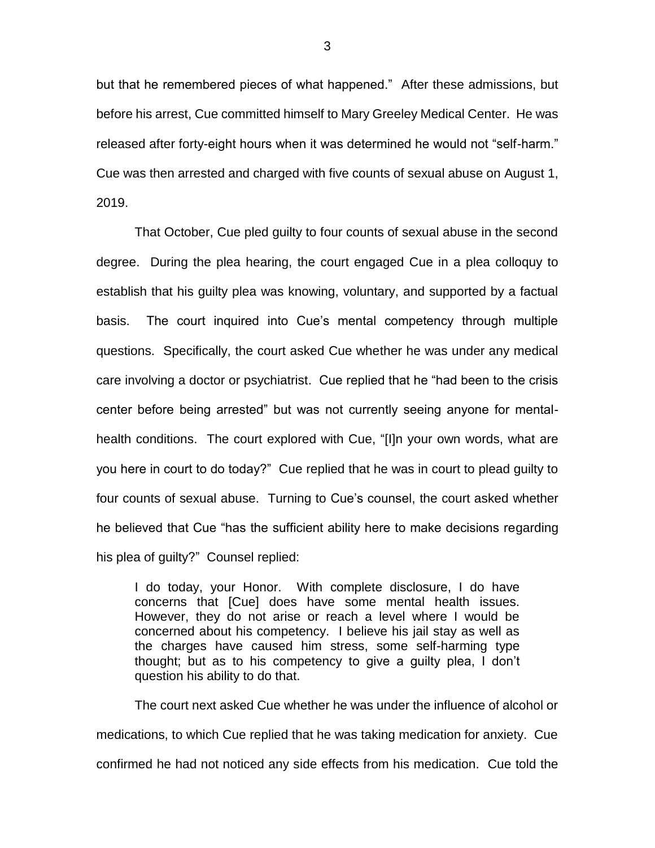but that he remembered pieces of what happened." After these admissions, but before his arrest, Cue committed himself to Mary Greeley Medical Center. He was released after forty-eight hours when it was determined he would not "self-harm." Cue was then arrested and charged with five counts of sexual abuse on August 1, 2019.

That October, Cue pled guilty to four counts of sexual abuse in the second degree. During the plea hearing, the court engaged Cue in a plea colloquy to establish that his guilty plea was knowing, voluntary, and supported by a factual basis. The court inquired into Cue's mental competency through multiple questions. Specifically, the court asked Cue whether he was under any medical care involving a doctor or psychiatrist. Cue replied that he "had been to the crisis center before being arrested" but was not currently seeing anyone for mentalhealth conditions. The court explored with Cue, "[I]n your own words, what are you here in court to do today?" Cue replied that he was in court to plead guilty to four counts of sexual abuse. Turning to Cue's counsel, the court asked whether he believed that Cue "has the sufficient ability here to make decisions regarding his plea of guilty?" Counsel replied:

I do today, your Honor. With complete disclosure, I do have concerns that [Cue] does have some mental health issues. However, they do not arise or reach a level where I would be concerned about his competency. I believe his jail stay as well as the charges have caused him stress, some self-harming type thought; but as to his competency to give a guilty plea, I don't question his ability to do that.

The court next asked Cue whether he was under the influence of alcohol or medications, to which Cue replied that he was taking medication for anxiety. Cue confirmed he had not noticed any side effects from his medication. Cue told the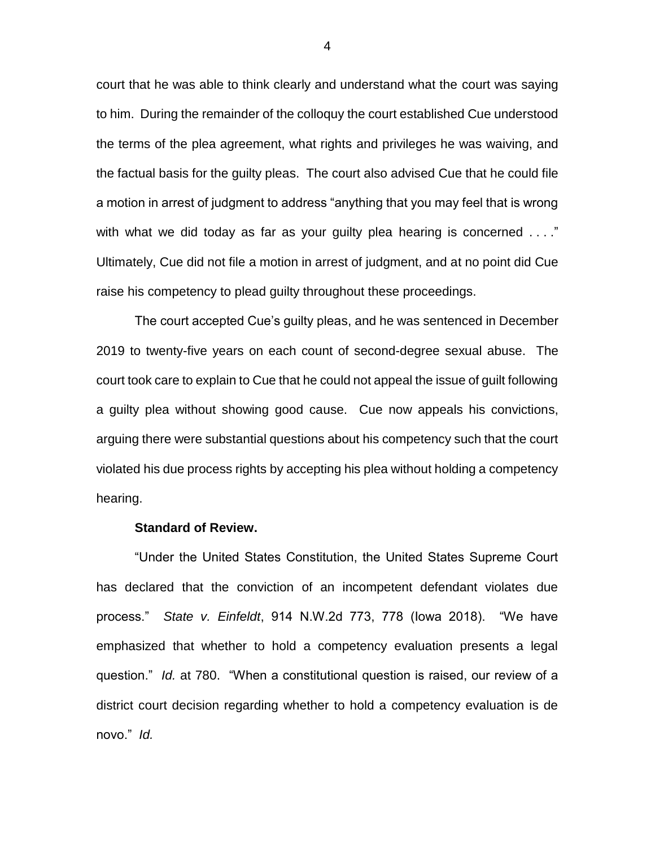court that he was able to think clearly and understand what the court was saying to him. During the remainder of the colloquy the court established Cue understood the terms of the plea agreement, what rights and privileges he was waiving, and the factual basis for the guilty pleas. The court also advised Cue that he could file a motion in arrest of judgment to address "anything that you may feel that is wrong with what we did today as far as your guilty plea hearing is concerned ...." Ultimately, Cue did not file a motion in arrest of judgment, and at no point did Cue raise his competency to plead guilty throughout these proceedings.

The court accepted Cue's guilty pleas, and he was sentenced in December 2019 to twenty-five years on each count of second-degree sexual abuse. The court took care to explain to Cue that he could not appeal the issue of guilt following a guilty plea without showing good cause. Cue now appeals his convictions, arguing there were substantial questions about his competency such that the court violated his due process rights by accepting his plea without holding a competency hearing.

#### **Standard of Review.**

"Under the United States Constitution, the United States Supreme Court has declared that the conviction of an incompetent defendant violates due process." *State v. Einfeldt*, 914 N.W.2d 773, 778 (Iowa 2018). "We have emphasized that whether to hold a competency evaluation presents a legal question." *Id.* at 780. "When a constitutional question is raised, our review of a district court decision regarding whether to hold a competency evaluation is de novo." *Id.* 

4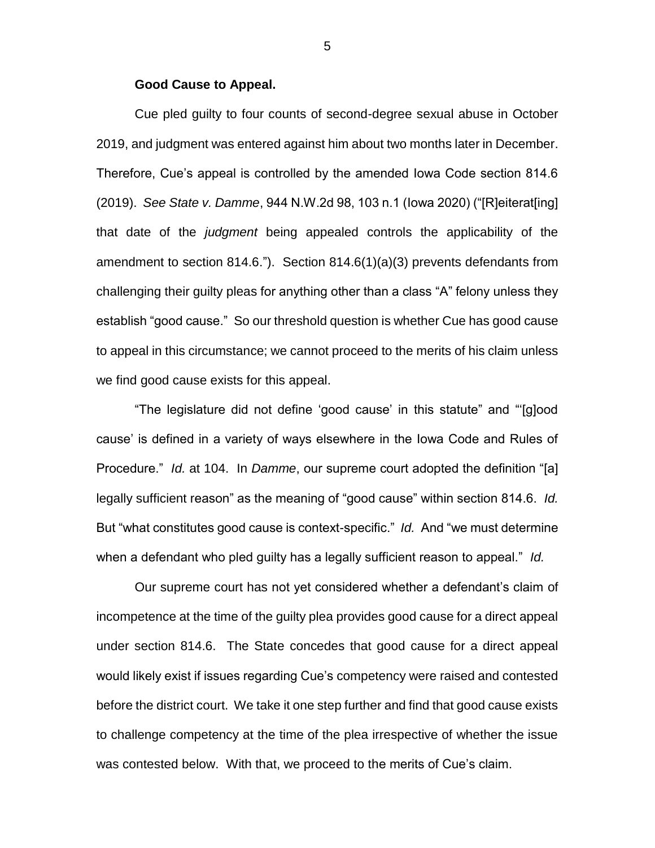#### **Good Cause to Appeal.**

Cue pled guilty to four counts of second-degree sexual abuse in October 2019, and judgment was entered against him about two months later in December. Therefore, Cue's appeal is controlled by the amended Iowa Code section 814.6 (2019). *See State v. Damme*, 944 N.W.2d 98, 103 n.1 (Iowa 2020) ("[R]eiterat[ing] that date of the *judgment* being appealed controls the applicability of the amendment to section 814.6."). Section 814.6(1)(a)(3) prevents defendants from challenging their guilty pleas for anything other than a class "A" felony unless they establish "good cause." So our threshold question is whether Cue has good cause to appeal in this circumstance; we cannot proceed to the merits of his claim unless we find good cause exists for this appeal.

"The legislature did not define 'good cause' in this statute" and "'[g]ood cause' is defined in a variety of ways elsewhere in the Iowa Code and Rules of Procedure." *Id.* at 104. In *Damme*, our supreme court adopted the definition "[a] legally sufficient reason" as the meaning of "good cause" within section 814.6. *Id.*  But "what constitutes good cause is context-specific." *Id.* And "we must determine when a defendant who pled guilty has a legally sufficient reason to appeal." *Id.* 

Our supreme court has not yet considered whether a defendant's claim of incompetence at the time of the guilty plea provides good cause for a direct appeal under section 814.6. The State concedes that good cause for a direct appeal would likely exist if issues regarding Cue's competency were raised and contested before the district court. We take it one step further and find that good cause exists to challenge competency at the time of the plea irrespective of whether the issue was contested below. With that, we proceed to the merits of Cue's claim.

5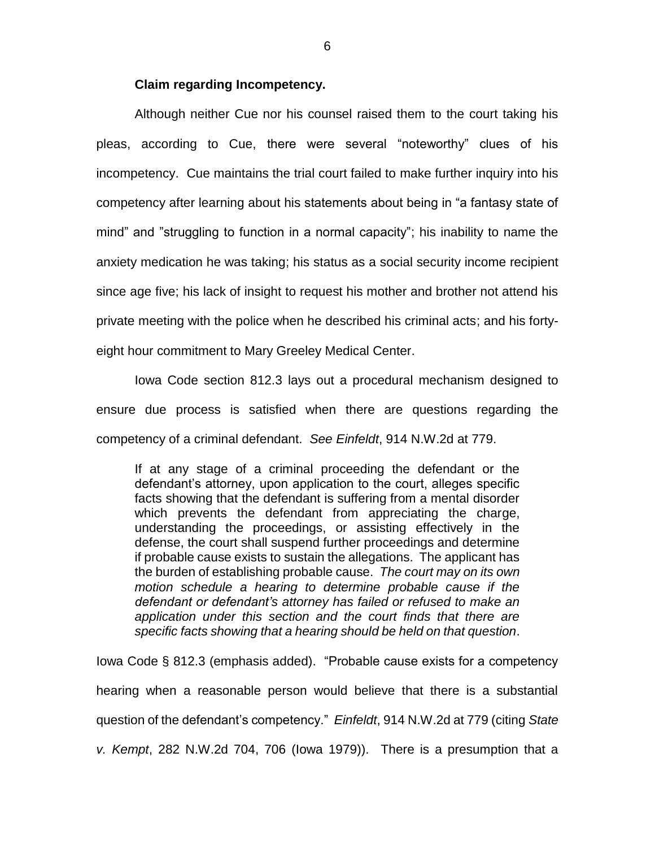#### **Claim regarding Incompetency.**

Although neither Cue nor his counsel raised them to the court taking his pleas, according to Cue, there were several "noteworthy" clues of his incompetency. Cue maintains the trial court failed to make further inquiry into his competency after learning about his statements about being in "a fantasy state of mind" and "struggling to function in a normal capacity"; his inability to name the anxiety medication he was taking; his status as a social security income recipient since age five; his lack of insight to request his mother and brother not attend his private meeting with the police when he described his criminal acts; and his fortyeight hour commitment to Mary Greeley Medical Center.

Iowa Code section 812.3 lays out a procedural mechanism designed to ensure due process is satisfied when there are questions regarding the competency of a criminal defendant. *See Einfeldt*, 914 N.W.2d at 779.

If at any stage of a criminal proceeding the defendant or the defendant's attorney, upon application to the court, alleges specific facts showing that the defendant is suffering from a mental disorder which prevents the defendant from appreciating the charge, understanding the proceedings, or assisting effectively in the defense, the court shall suspend further proceedings and determine if probable cause exists to sustain the allegations. The applicant has the burden of establishing probable cause. *The court may on its own motion schedule a hearing to determine probable cause if the defendant or defendant's attorney has failed or refused to make an application under this section and the court finds that there are specific facts showing that a hearing should be held on that question*.

Iowa Code § 812.3 (emphasis added). "Probable cause exists for a competency hearing when a reasonable person would believe that there is a substantial question of the defendant's competency." *Einfeldt*, 914 N.W.2d at 779 (citing *State v. Kempt*, 282 N.W.2d 704, 706 (Iowa 1979)). There is a presumption that a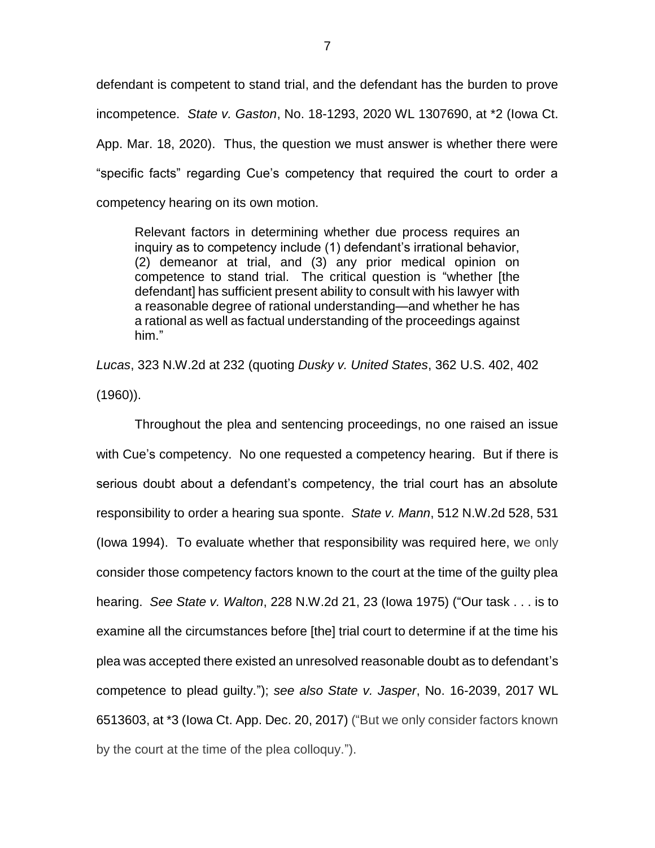defendant is competent to stand trial, and the defendant has the burden to prove incompetence. *State v. Gaston*, No. 18-1293, 2020 WL 1307690, at \*2 (Iowa Ct. App. Mar. 18, 2020). Thus, the question we must answer is whether there were "specific facts" regarding Cue's competency that required the court to order a competency hearing on its own motion.

Relevant factors in determining whether due process requires an inquiry as to competency include (1) defendant's irrational behavior, (2) demeanor at trial, and (3) any prior medical opinion on competence to stand trial. The critical question is "whether [the defendant] has sufficient present ability to consult with his lawyer with a reasonable degree of rational understanding—and whether he has a rational as well as factual understanding of the proceedings against him."

*Lucas*, 323 N.W.2d at 232 (quoting *Dusky v. United States*, 362 U.S. 402, 402 (1960)).

Throughout the plea and sentencing proceedings, no one raised an issue with Cue's competency. No one requested a competency hearing. But if there is serious doubt about a defendant's competency, the trial court has an absolute responsibility to order a hearing sua sponte. *State v. Mann*, 512 N.W.2d 528, 531 (Iowa 1994). To evaluate whether that responsibility was required here, we only consider those competency factors known to the court at the time of the guilty plea hearing. *See State v. Walton*, 228 N.W.2d 21, 23 (Iowa 1975) ("Our task . . . is to examine all the circumstances before [the] trial court to determine if at the time his plea was accepted there existed an unresolved reasonable doubt as to defendant's competence to plead guilty."); *see also State v. Jasper*, No. 16-2039, 2017 WL 6513603, at \*3 (Iowa Ct. App. Dec. 20, 2017) ("But we only consider factors known by the court at the time of the plea colloquy.").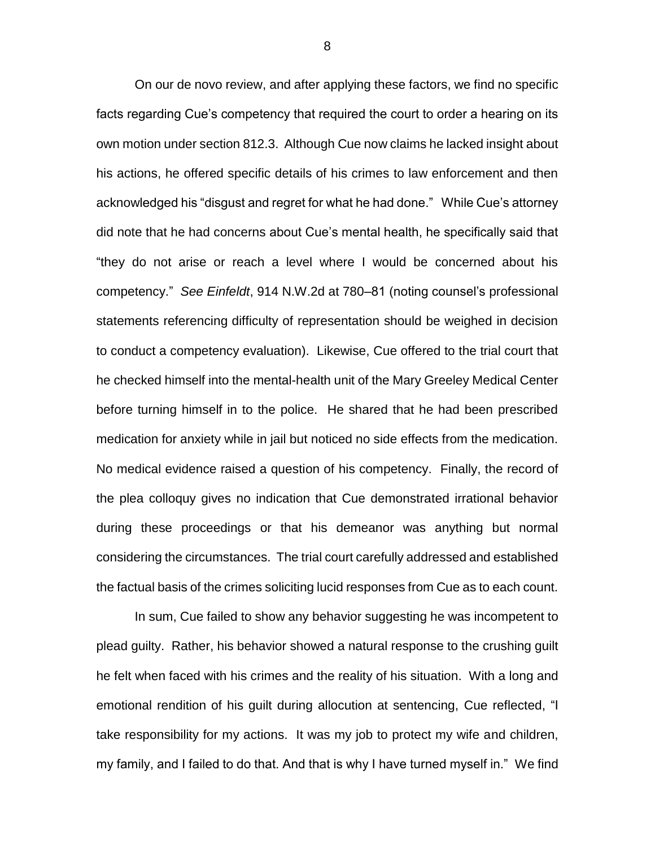On our de novo review, and after applying these factors, we find no specific facts regarding Cue's competency that required the court to order a hearing on its own motion under section 812.3. Although Cue now claims he lacked insight about his actions, he offered specific details of his crimes to law enforcement and then acknowledged his "disgust and regret for what he had done." While Cue's attorney did note that he had concerns about Cue's mental health, he specifically said that "they do not arise or reach a level where I would be concerned about his competency." *See Einfeldt*, 914 N.W.2d at 780–81 (noting counsel's professional statements referencing difficulty of representation should be weighed in decision to conduct a competency evaluation). Likewise, Cue offered to the trial court that he checked himself into the mental-health unit of the Mary Greeley Medical Center before turning himself in to the police. He shared that he had been prescribed medication for anxiety while in jail but noticed no side effects from the medication. No medical evidence raised a question of his competency. Finally, the record of the plea colloquy gives no indication that Cue demonstrated irrational behavior during these proceedings or that his demeanor was anything but normal considering the circumstances. The trial court carefully addressed and established the factual basis of the crimes soliciting lucid responses from Cue as to each count.

In sum, Cue failed to show any behavior suggesting he was incompetent to plead guilty. Rather, his behavior showed a natural response to the crushing guilt he felt when faced with his crimes and the reality of his situation. With a long and emotional rendition of his guilt during allocution at sentencing, Cue reflected, "I take responsibility for my actions. It was my job to protect my wife and children, my family, and I failed to do that. And that is why I have turned myself in." We find